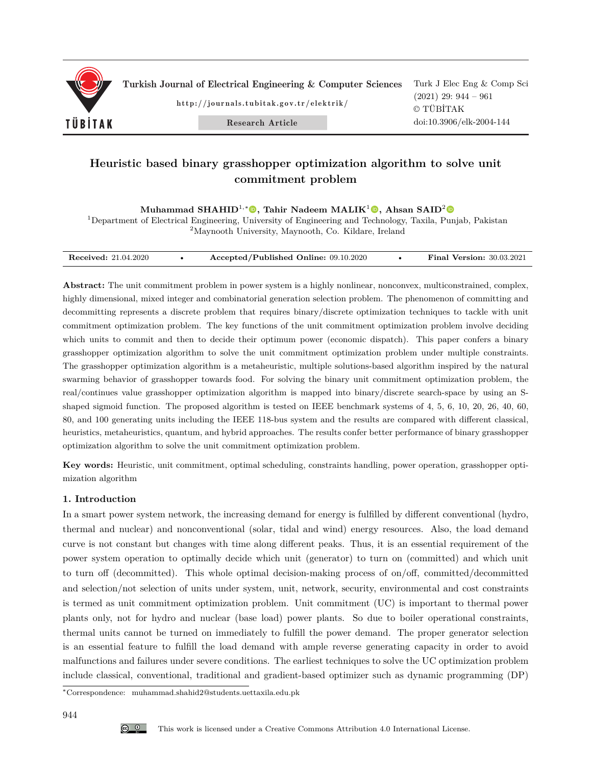

Turkish Journal of Electrical Engineering & Computer Sciences

http://journals.tubitak.gov.tr/elektrik/

Research Article

Turk J Elec Eng & Comp Sci (2021) 29: 944 – 961 © TÜBİTAK doi:10.3906/elk-2004-144

# **Heuristic based binary grasshopper optimization algorithm to solve unit commitment problem**

**Muhammad SHAHID**<sup>1</sup>*,*<sup>∗</sup>**, Tahir Nadeem MALIK**<sup>1</sup>**, Ahsan SAID**<sup>2</sup>

<sup>1</sup>Department of Electrical Engineering, University of Engineering and Technology, Taxila, Punjab, Pakistan <sup>2</sup>Maynooth University, Maynooth, Co. Kildare, Ireland

| <b>Received:</b> 21.04.2020 |  | Accepted/Published Online: 09.10.2020 |  | <b>Final Version: 30.03.2021</b> |
|-----------------------------|--|---------------------------------------|--|----------------------------------|
|-----------------------------|--|---------------------------------------|--|----------------------------------|

**Abstract:** The unit commitment problem in power system is a highly nonlinear, nonconvex, multiconstrained, complex, highly dimensional, mixed integer and combinatorial generation selection problem. The phenomenon of committing and decommitting represents a discrete problem that requires binary/discrete optimization techniques to tackle with unit commitment optimization problem. The key functions of the unit commitment optimization problem involve deciding which units to commit and then to decide their optimum power (economic dispatch). This paper confers a binary grasshopper optimization algorithm to solve the unit commitment optimization problem under multiple constraints. The grasshopper optimization algorithm is a metaheuristic, multiple solutions-based algorithm inspired by the natural swarming behavior of grasshopper towards food. For solving the binary unit commitment optimization problem, the real/continues value grasshopper optimization algorithm is mapped into binary/discrete search-space by using an Sshaped sigmoid function. The proposed algorithm is tested on IEEE benchmark systems of 4, 5, 6, 10, 20, 26, 40, 60, 80, and 100 generating units including the IEEE 118-bus system and the results are compared with different classical, heuristics, metaheuristics, quantum, and hybrid approaches. The results confer better performance of binary grasshopper optimization algorithm to solve the unit commitment optimization problem.

**Key words:** Heuristic, unit commitment, optimal scheduling, constraints handling, power operation, grasshopper optimization algorithm

## **1. Introduction**

In a smart power system network, the increasing demand for energy is fulfilled by different conventional (hydro, thermal and nuclear) and nonconventional (solar, tidal and wind) energy resources. Also, the load demand curve is not constant but changes with time along different peaks. Thus, it is an essential requirement of the power system operation to optimally decide which unit (generator) to turn on (committed) and which unit to turn off (decommitted). This whole optimal decision-making process of on/off, committed/decommitted and selection/not selection of units under system, unit, network, security, environmental and cost constraints is termed as unit commitment optimization problem. Unit commitment (UC) is important to thermal power plants only, not for hydro and nuclear (base load) power plants. So due to boiler operational constraints, thermal units cannot be turned on immediately to fulfill the power demand. The proper generator selection is an essential feature to fulfill the load demand with ample reverse generating capacity in order to avoid malfunctions and failures under severe conditions. The earliest techniques to solve the UC optimization problem include classical, conventional, traditional and gradient-based optimizer such as dynamic programming (DP)

<sup>∗</sup>Correspondence: muhammad.shahid2@students.uettaxila.edu.pk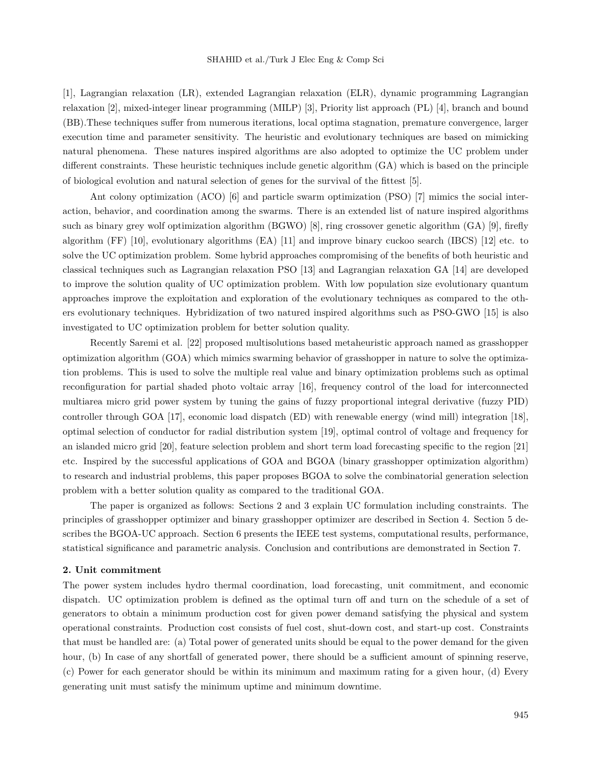[1], Lagrangian relaxation (LR), extended Lagrangian relaxation (ELR), dynamic programming Lagrangian relaxation [2], mixed-integer linear programming (MILP) [3], Priority list approach (PL) [4], branch and bound (BB).These techniques suffer from numerous iterations, local optima stagnation, premature convergence, larger execution time and parameter sensitivity. The heuristic and evolutionary techniques are based on mimicking natural phenomena. These natures inspired algorithms are also adopted to optimize the UC problem under different constraints. These heuristic techniques include genetic algorithm (GA) which is based on the principle of biological evolution and natural selection of genes for the survival of the fittest [5].

Ant colony optimization (ACO) [6] and particle swarm optimization (PSO) [7] mimics the social interaction, behavior, and coordination among the swarms. There is an extended list of nature inspired algorithms such as binary grey wolf optimization algorithm (BGWO) [8], ring crossover genetic algorithm (GA) [9], firefly algorithm (FF) [10], evolutionary algorithms (EA) [11] and improve binary cuckoo search (IBCS) [12] etc. to solve the UC optimization problem. Some hybrid approaches compromising of the benefits of both heuristic and classical techniques such as Lagrangian relaxation PSO [13] and Lagrangian relaxation GA [14] are developed to improve the solution quality of UC optimization problem. With low population size evolutionary quantum approaches improve the exploitation and exploration of the evolutionary techniques as compared to the others evolutionary techniques. Hybridization of two natured inspired algorithms such as PSO-GWO [15] is also investigated to UC optimization problem for better solution quality.

Recently Saremi et al. [22] proposed multisolutions based metaheuristic approach named as grasshopper optimization algorithm (GOA) which mimics swarming behavior of grasshopper in nature to solve the optimization problems. This is used to solve the multiple real value and binary optimization problems such as optimal reconfiguration for partial shaded photo voltaic array [16], frequency control of the load for interconnected multiarea micro grid power system by tuning the gains of fuzzy proportional integral derivative (fuzzy PID) controller through GOA [17], economic load dispatch (ED) with renewable energy (wind mill) integration [18], optimal selection of conductor for radial distribution system [19], optimal control of voltage and frequency for an islanded micro grid [20], feature selection problem and short term load forecasting specific to the region [21] etc. Inspired by the successful applications of GOA and BGOA (binary grasshopper optimization algorithm) to research and industrial problems, this paper proposes BGOA to solve the combinatorial generation selection problem with a better solution quality as compared to the traditional GOA.

The paper is organized as follows: Sections 2 and 3 explain UC formulation including constraints. The principles of grasshopper optimizer and binary grasshopper optimizer are described in Section 4. Section 5 describes the BGOA-UC approach. Section 6 presents the IEEE test systems, computational results, performance, statistical significance and parametric analysis. Conclusion and contributions are demonstrated in Section 7.

#### **2. Unit commitment**

The power system includes hydro thermal coordination, load forecasting, unit commitment, and economic dispatch. UC optimization problem is defined as the optimal turn off and turn on the schedule of a set of generators to obtain a minimum production cost for given power demand satisfying the physical and system operational constraints. Production cost consists of fuel cost, shut-down cost, and start-up cost. Constraints that must be handled are: (a) Total power of generated units should be equal to the power demand for the given hour, (b) In case of any shortfall of generated power, there should be a sufficient amount of spinning reserve, (c) Power for each generator should be within its minimum and maximum rating for a given hour, (d) Every generating unit must satisfy the minimum uptime and minimum downtime.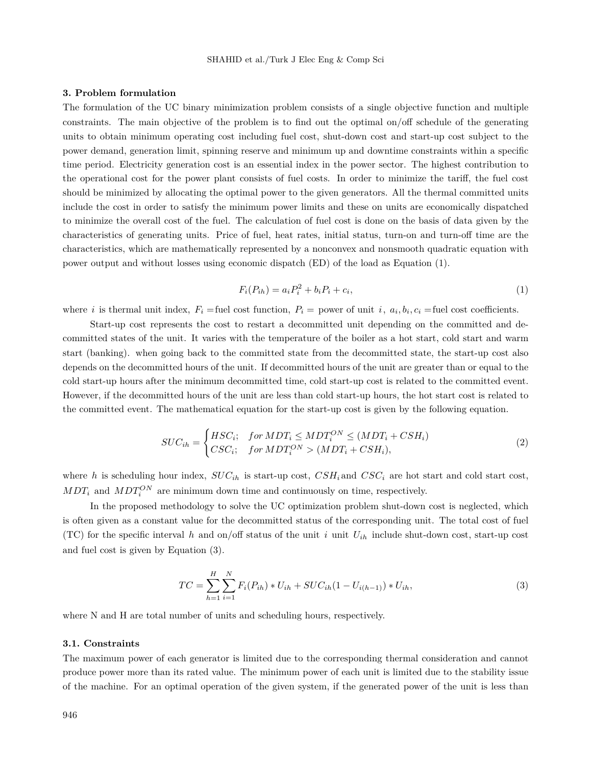#### **3. Problem formulation**

The formulation of the UC binary minimization problem consists of a single objective function and multiple constraints. The main objective of the problem is to find out the optimal on/off schedule of the generating units to obtain minimum operating cost including fuel cost, shut-down cost and start-up cost subject to the power demand, generation limit, spinning reserve and minimum up and downtime constraints within a specific time period. Electricity generation cost is an essential index in the power sector. The highest contribution to the operational cost for the power plant consists of fuel costs. In order to minimize the tariff, the fuel cost should be minimized by allocating the optimal power to the given generators. All the thermal committed units include the cost in order to satisfy the minimum power limits and these on units are economically dispatched to minimize the overall cost of the fuel. The calculation of fuel cost is done on the basis of data given by the characteristics of generating units. Price of fuel, heat rates, initial status, turn-on and turn-off time are the characteristics, which are mathematically represented by a nonconvex and nonsmooth quadratic equation with power output and without losses using economic dispatch (ED) of the load as Equation (1).

$$
F_i(P_{ih}) = a_i P_i^2 + b_i P_i + c_i,
$$
\n(1)

where *i* is thermal unit index,  $F_i$  =fuel cost function,  $P_i$  = power of unit *i*,  $a_i, b_i, c_i$  =fuel cost coefficients.

Start-up cost represents the cost to restart a decommitted unit depending on the committed and decommitted states of the unit. It varies with the temperature of the boiler as a hot start, cold start and warm start (banking). when going back to the committed state from the decommitted state, the start-up cost also depends on the decommitted hours of the unit. If decommitted hours of the unit are greater than or equal to the cold start-up hours after the minimum decommitted time, cold start-up cost is related to the committed event. However, if the decommitted hours of the unit are less than cold start-up hours, the hot start cost is related to the committed event. The mathematical equation for the start-up cost is given by the following equation.

$$
SUC_{ih} = \begin{cases} HSC_i; & for MDT_i \le MDT_i^{ON} \le (MDT_i + CSH_i) \\ CSC_i; & for MDT_i^{ON} > (MDT_i + CSH_i), \end{cases} \tag{2}
$$

where *h* is scheduling hour index,  $SUC_{ih}$  is start-up cost,  $CSH_i$  and  $CSC_i$  are hot start and cold start cost,  $MDT_i$  and  $MDT_i^{ON}$  are minimum down time and continuously on time, respectively.

In the proposed methodology to solve the UC optimization problem shut-down cost is neglected, which is often given as a constant value for the decommitted status of the corresponding unit. The total cost of fuel (TC) for the specific interval  $h$  and on/off status of the unit  $i$  unit  $U_{ih}$  include shut-down cost, start-up cost and fuel cost is given by Equation (3).

$$
TC = \sum_{h=1}^{H} \sum_{i=1}^{N} F_i(P_{ih}) * U_{ih} + SUC_{ih}(1 - U_{i(h-1)}) * U_{ih},
$$
\n(3)

where N and H are total number of units and scheduling hours, respectively.

#### **3.1. Constraints**

The maximum power of each generator is limited due to the corresponding thermal consideration and cannot produce power more than its rated value. The minimum power of each unit is limited due to the stability issue of the machine. For an optimal operation of the given system, if the generated power of the unit is less than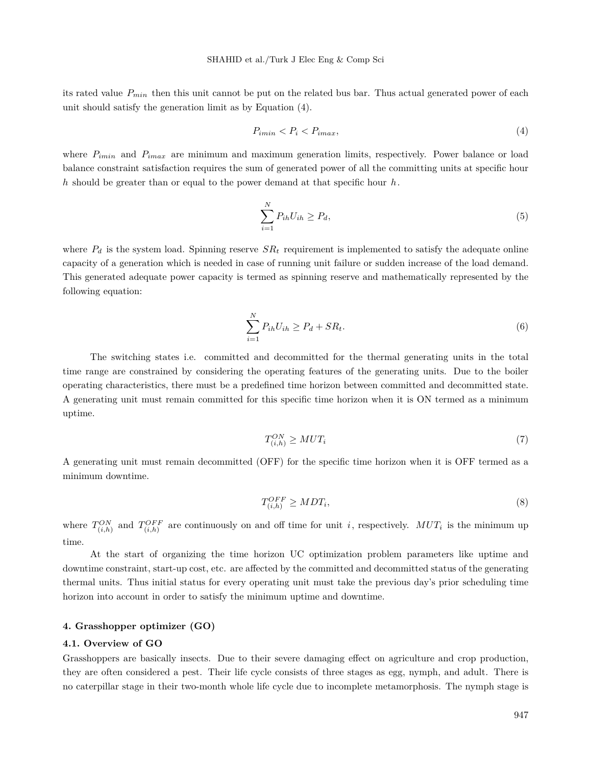its rated value *Pmin* then this unit cannot be put on the related bus bar. Thus actual generated power of each unit should satisfy the generation limit as by Equation (4).

$$
P_{imin} < P_i < P_{imax},\tag{4}
$$

where  $P_{imin}$  and  $P_{imax}$  are minimum and maximum generation limits, respectively. Power balance or load balance constraint satisfaction requires the sum of generated power of all the committing units at specific hour *h* should be greater than or equal to the power demand at that specific hour *h*.

$$
\sum_{i=1}^{N} P_{ih} U_{ih} \ge P_d,
$$
\n<sup>(5)</sup>

where  $P_d$  is the system load. Spinning reserve  $SR_t$  requirement is implemented to satisfy the adequate online capacity of a generation which is needed in case of running unit failure or sudden increase of the load demand. This generated adequate power capacity is termed as spinning reserve and mathematically represented by the following equation:

$$
\sum_{i=1}^{N} P_{ih} U_{ih} \ge P_d + SR_t.
$$
\n
$$
(6)
$$

The switching states i.e. committed and decommitted for the thermal generating units in the total time range are constrained by considering the operating features of the generating units. Due to the boiler operating characteristics, there must be a predefined time horizon between committed and decommitted state. A generating unit must remain committed for this specific time horizon when it is ON termed as a minimum uptime.

$$
T_{(i,h)}^{ON} \ge MUT_i \tag{7}
$$

A generating unit must remain decommitted (OFF) for the specific time horizon when it is OFF termed as a minimum downtime.

$$
T_{(i,h)}^{OFF} \ge MDT_i,\tag{8}
$$

where  $T_{(i,h)}^{ON}$  and  $T_{(i,h)}^{OFF}$  are continuously on and off time for unit *i*, respectively.  $MUT_i$  is the minimum up time.

At the start of organizing the time horizon UC optimization problem parameters like uptime and downtime constraint, start-up cost, etc. are affected by the committed and decommitted status of the generating thermal units. Thus initial status for every operating unit must take the previous day's prior scheduling time horizon into account in order to satisfy the minimum uptime and downtime.

#### **4. Grasshopper optimizer (GO)**

#### **4.1. Overview of GO**

Grasshoppers are basically insects. Due to their severe damaging effect on agriculture and crop production, they are often considered a pest. Their life cycle consists of three stages as egg, nymph, and adult. There is no caterpillar stage in their two-month whole life cycle due to incomplete metamorphosis. The nymph stage is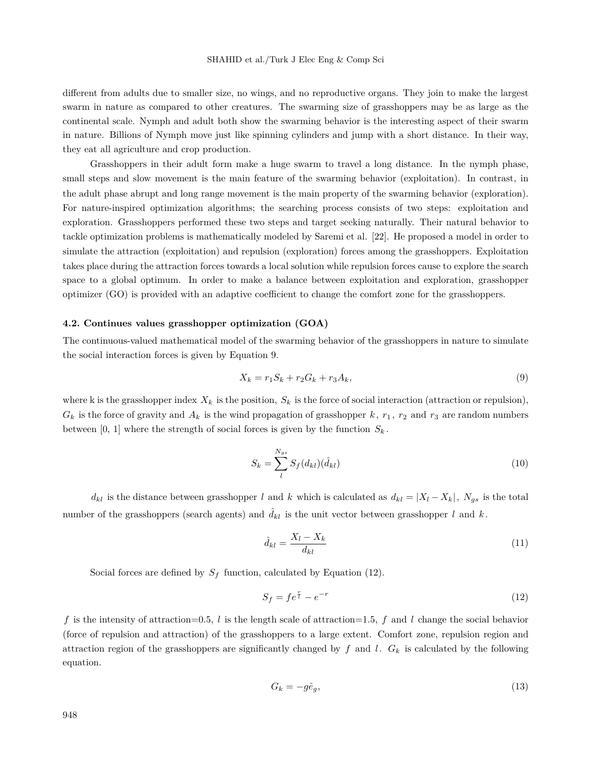different from adults due to smaller size, no wings, and no reproductive organs. They join to make the largest swarm in nature as compared to other creatures. The swarming size of grasshoppers may be as large as the continental scale. Nymph and adult both show the swarming behavior is the interesting aspect of their swarm in nature. Billions of Nymph move just like spinning cylinders and jump with a short distance. In their way, they eat all agriculture and crop production.

Grasshoppers in their adult form make a huge swarm to travel a long distance. In the nymph phase, small steps and slow movement is the main feature of the swarming behavior (exploitation). In contrast, in the adult phase abrupt and long range movement is the main property of the swarming behavior (exploration). For nature-inspired optimization algorithms; the searching process consists of two steps: exploitation and exploration. Grasshoppers performed these two steps and target seeking naturally. Their natural behavior to tackle optimization problems is mathematically modeled by Saremi et al. [22]. He proposed a model in order to simulate the attraction (exploitation) and repulsion (exploration) forces among the grasshoppers. Exploitation takes place during the attraction forces towards a local solution while repulsion forces cause to explore the search space to a global optimum. In order to make a balance between exploitation and exploration, grasshopper optimizer (GO) is provided with an adaptive coefficient to change the comfort zone for the grasshoppers.

#### **4.2. Continues values grasshopper optimization (GOA)**

The continuous-valued mathematical model of the swarming behavior of the grasshoppers in nature to simulate the social interaction forces is given by Equation 9.

$$
X_k = r_1 S_k + r_2 G_k + r_3 A_k, \t\t(9)
$$

where k is the grasshopper index  $X_k$  is the position,  $S_k$  is the force of social interaction (attraction or repulsion),  $G_k$  is the force of gravity and  $A_k$  is the wind propagation of grasshopper  $k$ ,  $r_1$ ,  $r_2$  and  $r_3$  are random numbers between [0, 1] where the strength of social forces is given by the function  $S_k$ .

$$
S_k = \sum_{l}^{N_{gs}} S_f(d_{kl}) (\hat{d}_{kl})
$$
\n(10)

*d*<sub>kl</sub> is the distance between grasshopper *l* and *k* which is calculated as  $d_{kl} = |X_l - X_k|$ ,  $N_{gs}$  is the total number of the grasshoppers (search agents) and  $\hat{d}_{kl}$  is the unit vector between grasshopper *l* and *k*.

$$
\hat{d}_{kl} = \frac{X_l - X_k}{d_{kl}}\tag{11}
$$

Social forces are defined by  $S_f$  function, calculated by Equation (12).

$$
S_f = f e^{\frac{r}{t}} - e^{-r} \tag{12}
$$

*f* is the intensity of attraction=0.5, *l* is the length scale of attraction=1.5, *f* and *l* change the social behavior (force of repulsion and attraction) of the grasshoppers to a large extent. Comfort zone, repulsion region and attraction region of the grasshoppers are significantly changed by  $f$  and  $l$ .  $G_k$  is calculated by the following equation.

$$
G_k = -g\hat{e}_g,\tag{13}
$$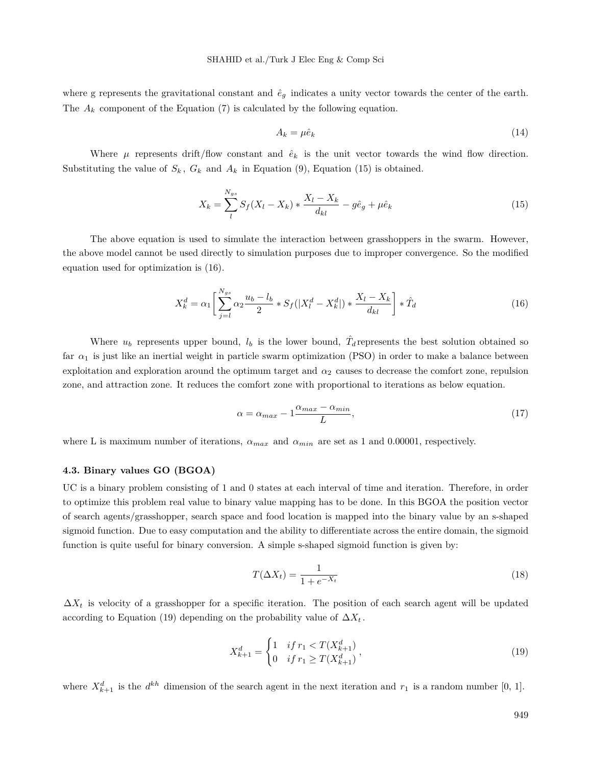where g represents the gravitational constant and  $\hat{e}_g$  indicates a unity vector towards the center of the earth. The  $A_k$  component of the Equation  $(7)$  is calculated by the following equation.

$$
A_k = \mu \hat{e}_k \tag{14}
$$

Where  $\mu$  represents drift/flow constant and  $\hat{e}_k$  is the unit vector towards the wind flow direction. Substituting the value of  $S_k$ ,  $G_k$  and  $A_k$  in Equation (9), Equation (15) is obtained.

$$
X_k = \sum_{l}^{N_{gs}} S_f (X_l - X_k) * \frac{X_l - X_k}{d_{kl}} - g\hat{e}_g + \mu \hat{e}_k
$$
\n(15)

The above equation is used to simulate the interaction between grasshoppers in the swarm. However, the above model cannot be used directly to simulation purposes due to improper convergence. So the modified equation used for optimization is (16).

$$
X_k^d = \alpha_1 \left[ \sum_{j=l}^{N_{gs}} \alpha_2 \frac{u_b - l_b}{2} * S_f(|X_l^d - X_k^d|) * \frac{X_l - X_k}{d_{kl}} \right] * \hat{T}_d
$$
 (16)

Where  $u_b$  represents upper bound,  $l_b$  is the lower bound,  $\hat{T}_d$  represents the best solution obtained so far  $\alpha_1$  is just like an inertial weight in particle swarm optimization (PSO) in order to make a balance between exploitation and exploration around the optimum target and *α*<sup>2</sup> causes to decrease the comfort zone, repulsion zone, and attraction zone. It reduces the comfort zone with proportional to iterations as below equation.

$$
\alpha = \alpha_{max} - 1 \frac{\alpha_{max} - \alpha_{min}}{L},\tag{17}
$$

where L is maximum number of iterations, *αmax* and *αmin* are set as 1 and 0.00001, respectively.

#### **4.3. Binary values GO (BGOA)**

UC is a binary problem consisting of 1 and 0 states at each interval of time and iteration. Therefore, in order to optimize this problem real value to binary value mapping has to be done. In this BGOA the position vector of search agents/grasshopper, search space and food location is mapped into the binary value by an s-shaped sigmoid function. Due to easy computation and the ability to differentiate across the entire domain, the sigmoid function is quite useful for binary conversion. A simple s-shaped sigmoid function is given by:

$$
T(\Delta X_t) = \frac{1}{1 + e^{-X_t}}\tag{18}
$$

 $\Delta X_t$  is velocity of a grasshopper for a specific iteration. The position of each search agent will be updated according to Equation (19) depending on the probability value of  $\Delta X_t$ .

$$
X_{k+1}^d = \begin{cases} 1 & \text{if } r_1 < T(X_{k+1}^d) \\ 0 & \text{if } r_1 \ge T(X_{k+1}^d) \end{cases},\tag{19}
$$

where  $X_{k+1}^d$  is the  $d^{kh}$  dimension of the search agent in the next iteration and  $r_1$  is a random number [0, 1].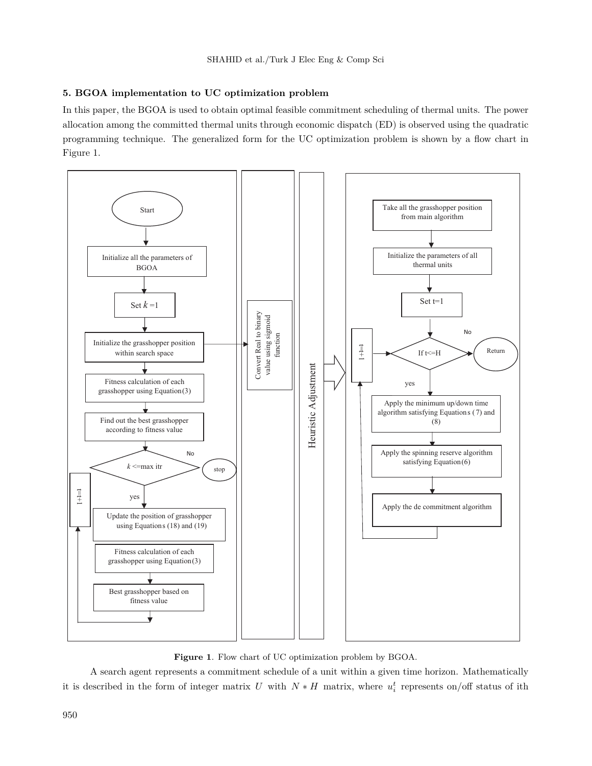# **5. BGOA implementation to UC optimization problem**

In this paper, the BGOA is used to obtain optimal feasible commitment scheduling of thermal units. The power allocation among the committed thermal units through economic dispatch (ED) is observed using the quadratic programming technique. The generalized form for the UC optimization problem is shown by a flow chart in Figure 1.



**Figure 1**. Flow chart of UC optimization problem by BGOA.

A search agent represents a commitment schedule of a unit within a given time horizon. Mathematically it is described in the form of integer matrix *U* with  $N * H$  matrix, where  $u_i^t$  represents on/off status of ith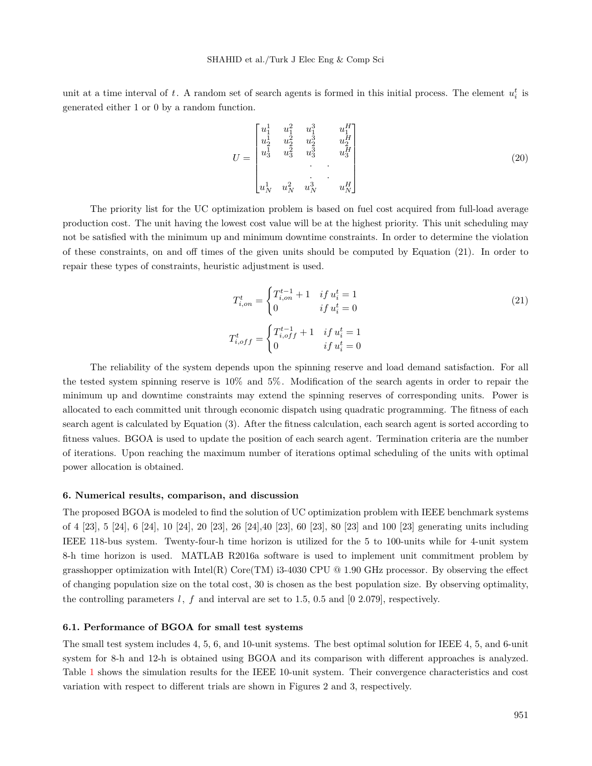unit at a time interval of  $t$ . A random set of search agents is formed in this initial process. The element  $u_i^t$  is generated either 1 or 0 by a random function.

$$
U = \begin{bmatrix} u_1^1 & u_1^2 & u_1^3 & u_1^H \\ u_2^1 & u_2^2 & u_2^3 & u_2^H \\ u_3^1 & u_3^2 & u_3^3 & u_3^H \\ & & \cdot & \cdot & \cdot \\ u_N^1 & u_N^2 & u_N^3 & u_N^H \end{bmatrix}
$$
 (20)

The priority list for the UC optimization problem is based on fuel cost acquired from full-load average production cost. The unit having the lowest cost value will be at the highest priority. This unit scheduling may not be satisfied with the minimum up and minimum downtime constraints. In order to determine the violation of these constraints, on and off times of the given units should be computed by Equation (21). In order to repair these types of constraints, heuristic adjustment is used.

$$
T_{i,on}^{t} = \begin{cases} T_{i,on}^{t-1} + 1 & if \ u_i^t = 1 \\ 0 & if \ u_i^t = 0 \end{cases}
$$

$$
T_{i,off}^{t} = \begin{cases} T_{i,off}^{t-1} + 1 & if \ u_i^t = 1 \\ 0 & if \ u_i^t = 0 \end{cases}
$$

$$
(21)
$$

The reliability of the system depends upon the spinning reserve and load demand satisfaction. For all the tested system spinning reserve is 10% and 5%. Modification of the search agents in order to repair the minimum up and downtime constraints may extend the spinning reserves of corresponding units. Power is allocated to each committed unit through economic dispatch using quadratic programming. The fitness of each search agent is calculated by Equation (3). After the fitness calculation, each search agent is sorted according to fitness values. BGOA is used to update the position of each search agent. Termination criteria are the number of iterations. Upon reaching the maximum number of iterations optimal scheduling of the units with optimal power allocation is obtained.

#### **6. Numerical results, comparison, and discussion**

The proposed BGOA is modeled to find the solution of UC optimization problem with IEEE benchmark systems of 4 [23], 5 [24], 6 [24], 10 [24], 20 [23], 26 [24],40 [23], 60 [23], 80 [23] and 100 [23] generating units including IEEE 118-bus system. Twenty-four-h time horizon is utilized for the 5 to 100-units while for 4-unit system 8-h time horizon is used. MATLAB R2016a software is used to implement unit commitment problem by grasshopper optimization with Intel(R) Core(TM) i3-4030 CPU  $@1.90$  GHz processor. By observing the effect of changing population size on the total cost, 30 is chosen as the best population size. By observing optimality, the controlling parameters  $l, f$  and interval are set to 1.5, 0.5 and  $[0, 2.079]$ , respectively.

#### **6.1. Performance of BGOA for small test systems**

The small test system includes 4, 5, 6, and 10-unit systems. The best optimal solution for IEEE 4, 5, and 6-unit system for 8-h and 12-h is obtained using BGOA and its comparison with different approaches is analyzed. Table [1](#page-8-0) shows the simulation results for the IEEE 10-unit system. Their convergence characteristics and cost variation with respect to different trials are shown in Figures 2 and 3, respectively.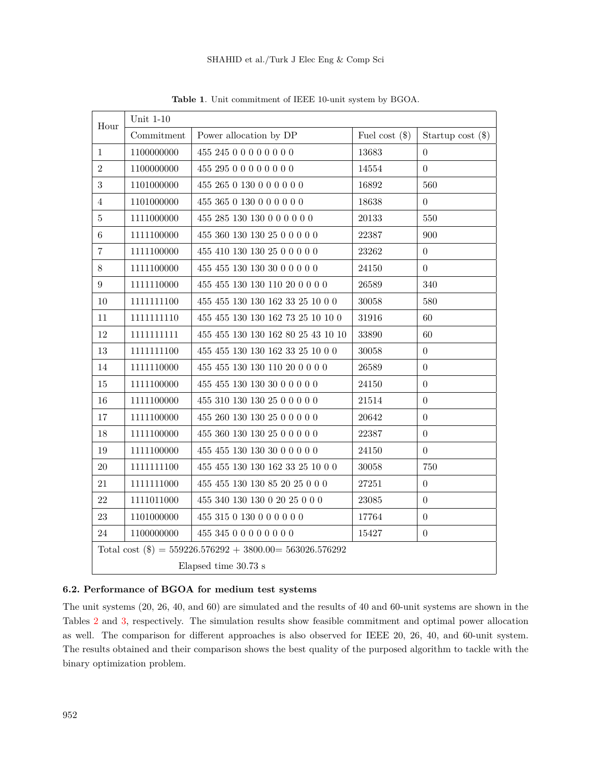| Hour                 | Unit $1-10$ |                                                             |                  |                     |  |  |  |  |  |
|----------------------|-------------|-------------------------------------------------------------|------------------|---------------------|--|--|--|--|--|
|                      | Commitment  | Power allocation by DP                                      | Fuel cost $(\$)$ | Startup cost $(\$)$ |  |  |  |  |  |
| $\mathbf{1}$         | 1100000000  | 455 245 0 0 0 0 0 0 0 0                                     | 13683            | $\overline{0}$      |  |  |  |  |  |
| $\overline{2}$       | 1100000000  | 455 295 0 0 0 0 0 0 0 0                                     | 14554            | $\overline{0}$      |  |  |  |  |  |
| 3                    | 1101000000  | 455 265 0 130 0 0 0 0 0 0                                   | 16892            | 560                 |  |  |  |  |  |
| $\overline{4}$       | 1101000000  | 455 365 0 130 0 0 0 0 0 0                                   | 18638            | $\overline{0}$      |  |  |  |  |  |
| $5\,$                | 1111000000  | 455 285 130 130 0 0 0 0 0 0                                 | 20133            | 550                 |  |  |  |  |  |
| $6\,$                | 1111100000  | 455 360 130 130 25 0 0 0 0 0                                | 22387            | 900                 |  |  |  |  |  |
| $\overline{7}$       | 1111100000  | 455 410 130 130 25 0 0 0 0 0                                | 23262            | $\overline{0}$      |  |  |  |  |  |
| $8\,$                | 1111100000  | 455 455 130 130 30 0 0 0 0 0                                | 24150            | $\overline{0}$      |  |  |  |  |  |
| 9                    | 1111110000  | 455 455 130 130 110 20 0 0 0 0                              | 26589            | 340                 |  |  |  |  |  |
| 10                   | 1111111100  | 455 455 130 130 162 33 25 10 0 0                            | 30058            | 580                 |  |  |  |  |  |
| 11                   | 1111111110  | 455 455 130 130 162 73 25 10 10 0                           | 31916            | 60                  |  |  |  |  |  |
| 12                   | 11111111111 | 455 455 130 130 162 80 25 43 10 10                          | 33890            | 60                  |  |  |  |  |  |
| 13                   | 1111111100  | 455 455 130 130 162 33 25 10 0 0                            | 30058            | $\overline{0}$      |  |  |  |  |  |
| 14                   | 1111110000  | 455 455 130 130 110 20 0 0 0 0                              | 26589            | $\theta$            |  |  |  |  |  |
| 15                   | 1111100000  | 455 455 130 130 30 0 0 0 0 0                                | 24150            | $\theta$            |  |  |  |  |  |
| 16                   | 1111100000  | 455 310 130 130 25 0 0 0 0 0                                | 21514            | $\overline{0}$      |  |  |  |  |  |
| 17                   | 1111100000  | 455 260 130 130 25 0 0 0 0 0                                | 20642            | $\theta$            |  |  |  |  |  |
| 18                   | 1111100000  | 455 360 130 130 25 0 0 0 0 0                                | 22387            | $\Omega$            |  |  |  |  |  |
| 19                   | 1111100000  | 455 455 130 130 30 0 0 0 0 0                                | 24150            | $\overline{0}$      |  |  |  |  |  |
| $20\,$               | 1111111100  | 455 455 130 130 162 33 25 10 0 0                            | 30058            | 750                 |  |  |  |  |  |
| 21                   | 1111111000  | 455 455 130 130 85 20 25 0 0 0                              | 27251            | $\theta$            |  |  |  |  |  |
| 22                   | 1111011000  | 455 340 130 130 0 20 25 0 0 0                               | 23085            | $\Omega$            |  |  |  |  |  |
| 23                   | 1101000000  | 455 315 0 130 0 0 0 0 0 0                                   | 17764            | $\overline{0}$      |  |  |  |  |  |
| 24                   | 1100000000  | 455 345 0 0 0 0 0 0 0 0                                     | 15427            | $\overline{0}$      |  |  |  |  |  |
|                      |             | Total cost $(\$) = 559226.576292 + 3800.00 = 563026.576292$ |                  |                     |  |  |  |  |  |
| Elapsed time 30.73 s |             |                                                             |                  |                     |  |  |  |  |  |

<span id="page-8-0"></span>**Table 1**. Unit commitment of IEEE 10-unit system by BGOA.

# **6.2. Performance of BGOA for medium test systems**

The unit systems (20, 26, 40, and 60) are simulated and the results of 40 and 60-unit systems are shown in the Tables [2](#page-10-0) and [3,](#page-11-0) respectively. The simulation results show feasible commitment and optimal power allocation as well. The comparison for different approaches is also observed for IEEE 20, 26, 40, and 60-unit system. The results obtained and their comparison shows the best quality of the purposed algorithm to tackle with the binary optimization problem.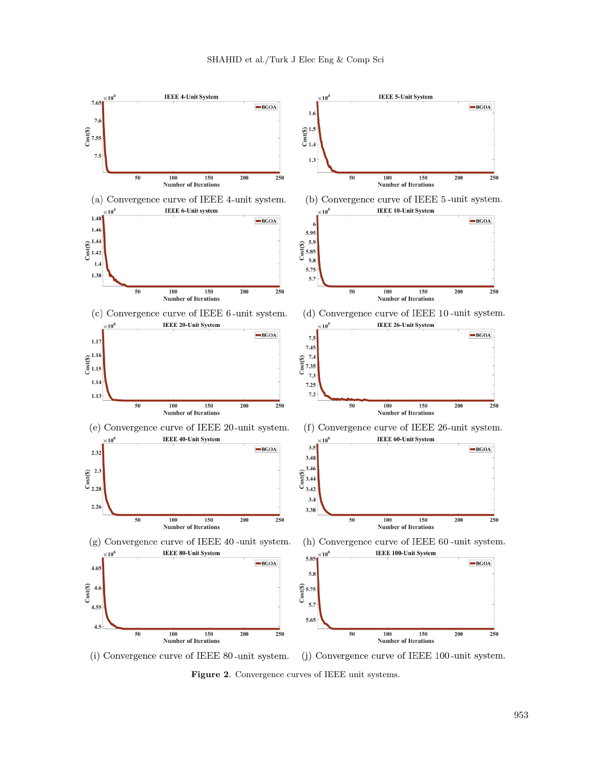

(j) Convergence curve of IEEE 100-unit system. (i) Convergence curve of IEEE 80-unit system.

**Figure 2**. Convergence curves of IEEE unit systems.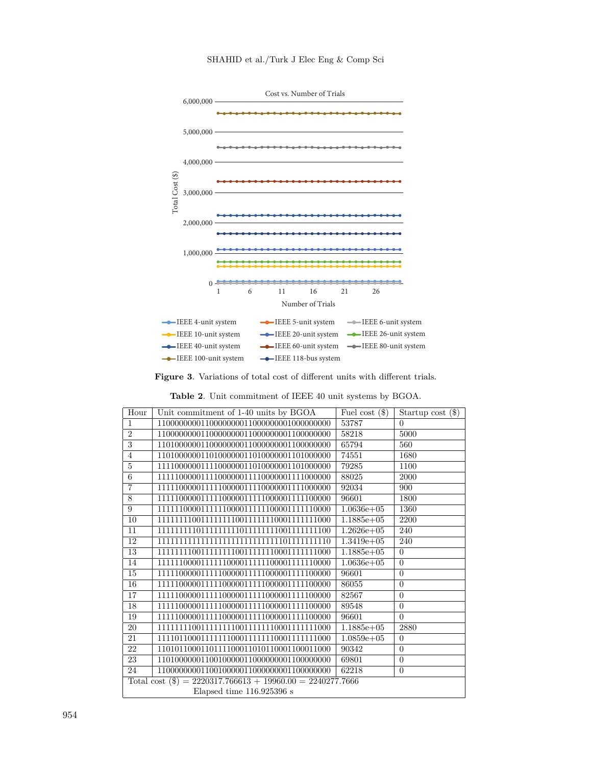



**Figure 3**. Variations of total cost of different units with different trials.

<span id="page-10-0"></span>**Table 2**. Unit commitment of IEEE 40 unit systems by BGOA.

| Hour            | Unit commitment of 1-40 units by BGOA                        | Fuel cost $(\$)$ | Startup cost $(\$)$ |  |  |  |  |  |  |
|-----------------|--------------------------------------------------------------|------------------|---------------------|--|--|--|--|--|--|
| $\mathbf{1}$    |                                                              | 53787            | $\Omega$            |  |  |  |  |  |  |
| $\overline{2}$  |                                                              | 58218            | 5000                |  |  |  |  |  |  |
| $\overline{3}$  |                                                              | 65794            | 560                 |  |  |  |  |  |  |
| $\overline{4}$  |                                                              | 74551            | 1680                |  |  |  |  |  |  |
| $\overline{5}$  |                                                              | 79285            | 1100                |  |  |  |  |  |  |
| 6               |                                                              | 88025            | 2000                |  |  |  |  |  |  |
| $\overline{7}$  |                                                              | 92034            | 900                 |  |  |  |  |  |  |
| 8               |                                                              | 96601            | 1800                |  |  |  |  |  |  |
| 9               |                                                              | $1.0636e + 05$   | 1360                |  |  |  |  |  |  |
| 10              | 1111111100111111110011111110001111111000                     | $1.1885e+05$     | 2200                |  |  |  |  |  |  |
| 11              | 1111111110111111111011111111001111111100                     | $1.2626e + 05$   | 240                 |  |  |  |  |  |  |
| 12              | 111111111111111111111111111110111111110                      | $1.3419e + 05$   | 240                 |  |  |  |  |  |  |
| 13              | 1111111100111111110011111110001111111000                     | $1.1885e+05$     | $\overline{0}$      |  |  |  |  |  |  |
| 14              |                                                              | $1.0636e + 05$   | $\overline{0}$      |  |  |  |  |  |  |
| 15              |                                                              | 96601            | $\theta$            |  |  |  |  |  |  |
| 16              |                                                              | 86055            | $\theta$            |  |  |  |  |  |  |
| 17              |                                                              | 82567            | $\theta$            |  |  |  |  |  |  |
| 18              |                                                              | 89548            | $\overline{0}$      |  |  |  |  |  |  |
| 19              |                                                              | 96601            | $\theta$            |  |  |  |  |  |  |
| 20              | 1111111100111111110011111110001111111000                     | $1.1885e+05$     | 2880                |  |  |  |  |  |  |
| $\overline{21}$ | 1111011000111111100011111110001111111000                     | $1.0859e + 05$   | $\overline{0}$      |  |  |  |  |  |  |
| 22              | 1101011000110111100011010110001100011000                     | 90342            | $\overline{0}$      |  |  |  |  |  |  |
| 23              |                                                              | 69801            | $\overline{0}$      |  |  |  |  |  |  |
| 24              |                                                              | 62218            | $\theta$            |  |  |  |  |  |  |
|                 | Total cost $(\$) = 2220317.766613 + 19960.00 = 2240277.7666$ |                  |                     |  |  |  |  |  |  |
|                 | Elapsed time $116.925396$ s                                  |                  |                     |  |  |  |  |  |  |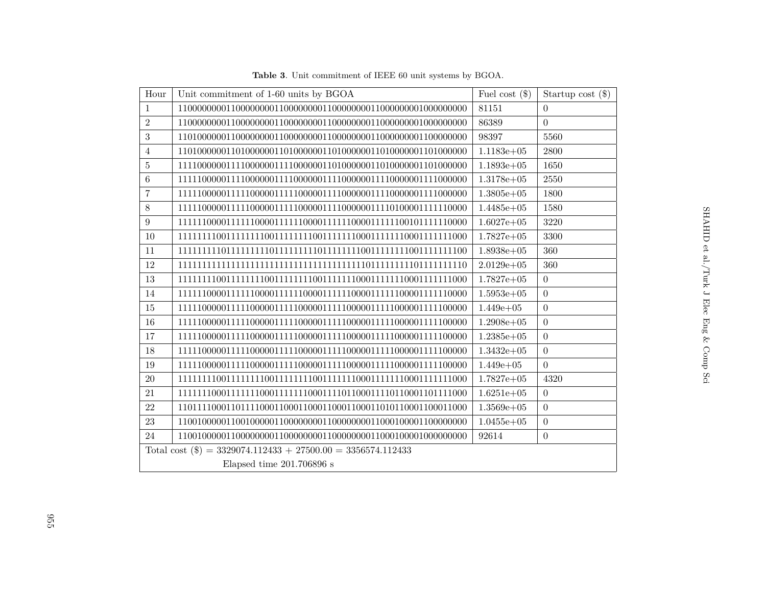<span id="page-11-0"></span>

| Unit commitment of 1-60 units by BGOA<br>Hour                  | Fuel cost $(\$)$ | Startup cost $(\$)$ |
|----------------------------------------------------------------|------------------|---------------------|
| $\mathbf{1}$                                                   | 81151            | $\Omega$            |
| $\overline{2}$                                                 | 86389            | $\overline{0}$      |
| 3                                                              | 98397            | 5560                |
| $\overline{4}$                                                 | $1.1183e+05$     | 2800                |
| $\bf 5$                                                        | $1.1893e+05$     | 1650                |
| $6\phantom{.}6$                                                | $1.3178e + 05$   | 2550                |
| $\overline{7}$                                                 | $1.3805e+05$     | 1800                |
| $8\,$                                                          | $1.4485e+05$     | 1580                |
| $9\phantom{.}$                                                 | $1.6027e+05$     | 3220                |
| 10                                                             | $1.7827e+05$     | 3300                |
| 11                                                             | $1.8938e+05$     | 360                 |
| 12                                                             | $2.0129e + 05$   | 360                 |
| 13                                                             | $1.7827e+05$     | $\Omega$            |
| 14                                                             | $1.5953e+05$     | $\overline{0}$      |
| 15                                                             | $1.449e + 05$    | $\Omega$            |
| 16                                                             | $1.2908e + 05$   | $\overline{0}$      |
| 17                                                             | $1.2385e+05$     | $\overline{0}$      |
| 18                                                             | $1.3432e+05$     | $\overline{0}$      |
| 19                                                             | $1.449e + 05$    | $\theta$            |
| $20\,$                                                         | $1.7827e+05$     | 4320                |
| 21                                                             | $1.6251e+05$     | $\overline{0}$      |
| $22\,$                                                         | $1.3569e + 05$   | $\overline{0}$      |
| 23                                                             | $1.0455e+05$     | $\overline{0}$      |
| 24                                                             | 92614            | $\overline{0}$      |
| Total cost $(\$) = 3329074.112433 + 27500.00 = 3356574.112433$ |                  |                     |
| Elapsed time $201.706896$ s                                    |                  |                     |

**Table <sup>3</sup>**. Unit commitment of IEEE <sup>60</sup> unit systems by BGOA.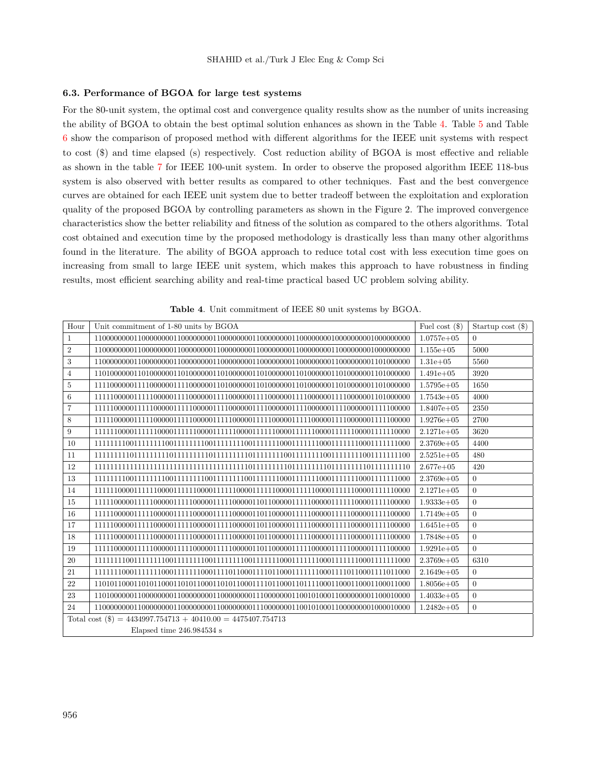#### **6.3. Performance of BGOA for large test systems**

For the 80-unit system, the optimal cost and convergence quality results show as the number of units increasing the ability of BGOA to obtain the best optimal solution enhances as shown in the Table [4](#page-12-0). Table [5](#page-13-0) and Table [6](#page-13-1) show the comparison of proposed method with different algorithms for the IEEE unit systems with respect to cost (\$) and time elapsed (s) respectively. Cost reduction ability of BGOA is most effective and reliable as shown in the table [7](#page-14-0) for IEEE 100-unit system. In order to observe the proposed algorithm IEEE 118-bus system is also observed with better results as compared to other techniques. Fast and the best convergence curves are obtained for each IEEE unit system due to better tradeoff between the exploitation and exploration quality of the proposed BGOA by controlling parameters as shown in the Figure 2. The improved convergence characteristics show the better reliability and fitness of the solution as compared to the others algorithms. Total cost obtained and execution time by the proposed methodology is drastically less than many other algorithms found in the literature. The ability of BGOA approach to reduce total cost with less execution time goes on increasing from small to large IEEE unit system, which makes this approach to have robustness in finding results, most efficient searching ability and real-time practical based UC problem solving ability.

| Hour             | Unit commitment of 1-80 units by BGOA                          | Fuel cost $(\$)$ | Startup cost $(\$)$ |  |  |  |  |  |  |
|------------------|----------------------------------------------------------------|------------------|---------------------|--|--|--|--|--|--|
| $\mathbf{1}$     |                                                                | $1.0757e + 05$   | $\theta$            |  |  |  |  |  |  |
| $\sqrt{2}$       |                                                                | $1.155e + 05$    | 5000                |  |  |  |  |  |  |
| $\boldsymbol{3}$ |                                                                | $1.31e+0.5$      | 5560                |  |  |  |  |  |  |
| $\overline{4}$   |                                                                | $1.491e+05$      | 3920                |  |  |  |  |  |  |
| $\overline{5}$   |                                                                | $1.5795e+05$     | 1650                |  |  |  |  |  |  |
| 6                |                                                                | $1.7543e+05$     | 4000                |  |  |  |  |  |  |
| $\overline{7}$   |                                                                | $1.8407e+05$     | 2350                |  |  |  |  |  |  |
| $\,8\,$          |                                                                | $1.9276e+05$     | 2700                |  |  |  |  |  |  |
| 9                |                                                                | $2.1271e+05$     | 3620                |  |  |  |  |  |  |
| 10               |                                                                | $2.3769e+05$     | 4400                |  |  |  |  |  |  |
| 11               |                                                                | $2.5251e+05$     | 480                 |  |  |  |  |  |  |
| 12               |                                                                | $2.677e + 05$    | 420                 |  |  |  |  |  |  |
| 13               |                                                                | $2.3769e+05$     | $\Omega$            |  |  |  |  |  |  |
| 14               |                                                                | $2.1271e+05$     | $\overline{0}$      |  |  |  |  |  |  |
| 15               |                                                                | $1.9333e+05$     | $\Omega$            |  |  |  |  |  |  |
| 16               |                                                                | $1.7149e+05$     | $\Omega$            |  |  |  |  |  |  |
| 17               |                                                                | $1.6451e+05$     | $\Omega$            |  |  |  |  |  |  |
| 18               |                                                                | $1.7848e+05$     | $\Omega$            |  |  |  |  |  |  |
| 19               |                                                                | $1.9291e+05$     | $\Omega$            |  |  |  |  |  |  |
| 20               |                                                                | $2.3769e + 05$   | 6310                |  |  |  |  |  |  |
| 21               |                                                                | $2.1649e+05$     | $\Omega$            |  |  |  |  |  |  |
| 22               |                                                                | $1.8056e + 05$   | $\overline{0}$      |  |  |  |  |  |  |
| 23               |                                                                | $1.4033e+05$     | $\overline{0}$      |  |  |  |  |  |  |
| 24               |                                                                | $1.2482e+05$     | $\Omega$            |  |  |  |  |  |  |
|                  | Total cost $(\$) = 4434997.754713 + 40410.00 = 4475407.754713$ |                  |                     |  |  |  |  |  |  |
|                  | Elapsed time 246.984534 s                                      |                  |                     |  |  |  |  |  |  |

<span id="page-12-0"></span>**Table 4**. Unit commitment of IEEE 80 unit systems by BGOA.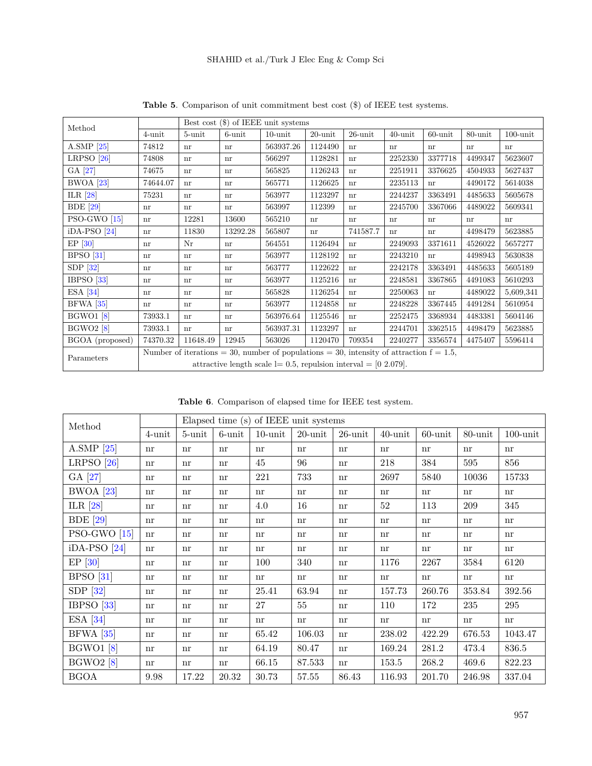| Method           | Best cost $(\$)$ of IEEE unit systems                               |                            |           |                                                                                            |            |            |            |            |         |             |
|------------------|---------------------------------------------------------------------|----------------------------|-----------|--------------------------------------------------------------------------------------------|------------|------------|------------|------------|---------|-------------|
|                  | $4$ -unit                                                           | 5-unit                     | $6$ -unit | $10$ -unit                                                                                 | $20$ -unit | $26$ -unit | $40$ -unit | $60$ -unit | 80-unit | $100$ -unit |
| A.SMP $[25]$     | 74812                                                               | nr                         | nr        | 563937.26                                                                                  | 1124490    | nr         | nr         | nr         | nr      | nr          |
| LRPSO $[26]$     | 74808                                                               | nr                         | nr        | 566297                                                                                     | 1128281    | nr         | 2252330    | 3377718    | 4499347 | 5623607     |
| GA [27]          | 74675                                                               | nr                         | nr        | 565825                                                                                     | 1126243    | nr         | 2251911    | 3376625    | 4504933 | 5627437     |
| $BWOA$ [23]      | 74644.07                                                            | nr                         | nr        | 565771                                                                                     | 1126625    | nr         | 2235113    | nr         | 4490172 | 5614038     |
| ILR $[28]$       | 75231                                                               | nr                         | nr        | 563977                                                                                     | 1123297    | nr         | 2244237    | 3363491    | 4485633 | 5605678     |
| <b>BDE</b> [29]  | nr                                                                  | nr                         | nr        | 563997                                                                                     | 112399     | nr         | 2245700    | 3367066    | 4489022 | 5609341     |
| $PSO-GWO$ [15]   | nr                                                                  | 12281                      | 13600     | 565210                                                                                     | nr         | nr         | nr         | nr         | nr      | nr          |
| $iDA-PSO [24]$   | nr                                                                  | 11830                      | 13292.28  | 565807                                                                                     | nr         | 741587.7   | nr         | nr         | 4498479 | 5623885     |
| $EP$ [30]        | nr                                                                  | Nr                         | nr        | 564551                                                                                     | 1126494    | nr         | 2249093    | 3371611    | 4526022 | 5657277     |
| $BPSO$ [31]      | nr                                                                  | nr                         | nr        | 563977                                                                                     | 1128192    | nr         | 2243210    | nr         | 4498943 | 5630838     |
| $SDP$ [32]       | nr                                                                  | nr                         | nr        | 563777                                                                                     | 1122622    | nr         | 2242178    | 3363491    | 4485633 | 5605189     |
| IBPSO $[33]$     | nr                                                                  | nr                         | nr        | 563977                                                                                     | 1125216    | nr         | 2248581    | 3367865    | 4491083 | 5610293     |
| ESA $[34]$       | nr                                                                  | nr                         | nr        | 565828                                                                                     | 1126254    | nr         | 2250063    | nr         | 4489022 | 5,609,341   |
| $BFWA$ [35]      | nr                                                                  | nr                         | nr        | 563977                                                                                     | 1124858    | nr         | 2248228    | 3367445    | 4491284 | 5610954     |
| <b>BGWO1</b> [8] | 73933.1                                                             | $\mathop{\rm nr}\nolimits$ | nr        | 563976.64                                                                                  | 1125546    | nr         | 2252475    | 3368934    | 4483381 | 5604146     |
| <b>BGWO2</b> [8] | 73933.1                                                             | nr                         | nr        | 563937.31                                                                                  | 1123297    | nr         | 2244701    | 3362515    | 4498479 | 5623885     |
| BGOA (proposed)  | 74370.32                                                            | 11648.49                   | 12945     | 563026                                                                                     | 1120470    | 709354     | 2240277    | 3356574    | 4475407 | 5596414     |
| Parameters       |                                                                     |                            |           | Number of iterations = 30, number of populations = 30, intensity of attraction $f = 1.5$ , |            |            |            |            |         |             |
|                  | attractive length scale $l = 0.5$ , repulsion interval = [0 2.079]. |                            |           |                                                                                            |            |            |            |            |         |             |

<span id="page-13-0"></span>**Table 5**. Comparison of unit commitment best cost (\$) of IEEE test systems.

<span id="page-13-1"></span>**Table 6**. Comparison of elapsed time for IEEE test system.

| Method           |           |        |           | Elapsed time (s) of IEEE unit systems |            |            |                                 |            |                            |             |
|------------------|-----------|--------|-----------|---------------------------------------|------------|------------|---------------------------------|------------|----------------------------|-------------|
|                  | $4$ -unit | 5-unit | $6$ -unit | $10$ -unit                            | $20$ -unit | $26$ -unit | $40$ -unit                      | $60$ -unit | $80$ -unit                 | $100$ -unit |
| A.SMP $[25]$     | nr        | nr     | nr        | nr                                    | nr         | nr         | $\mathop{\mathrm{nr}}\nolimits$ | nr         | $\mathop{\rm nr}\nolimits$ | nr          |
| LRPSO $[26]$     | nr        | nr     | nr        | 45                                    | 96         | nr         | 218                             | 384        | 595                        | 856         |
| GA [27]          | nr        | nr     | nr        | 221                                   | 733        | nr         | 2697                            | 5840       | 10036                      | 15733       |
| $BWOA$ [23]      | nr        | nr     | nr        | nr                                    | nr         | nr         | nr                              | nr         | nr                         | nr          |
| ILR $[28]$       | nr        | nr     | nr        | 4.0                                   | 16         | nr         | $52\,$                          | 113        | 209                        | 345         |
| <b>BDE</b> [29]  | nr        | nr     | nr        | nr                                    | nr         | nr         | nr                              | nr         | nr                         | nr          |
| $PSO-GWO$ [15]   | nr        | nr     | nr        | nr                                    | nr         | nr         | nr                              | nr         | nr                         | nr          |
| $iDA-PSO [24]$   | nr        | nr     | nr        | nr                                    | nr         | nr         | $\mathop{\mathrm{nr}}$          | nr         | nr                         | nr          |
| $EP$ [30]        | nr        | nr     | nr        | 100                                   | 340        | nr         | 1176                            | 2267       | 3584                       | 6120        |
| BPSO [31]        | nr        | nr     | nr        | nr                                    | nr         | nr         | $\mathop{\mathrm{nr}}$          | nr         | nr                         | nr          |
| SDP $[32]$       | nr        | nr     | nr        | 25.41                                 | 63.94      | nr         | 157.73                          | 260.76     | 353.84                     | 392.56      |
| IBPSO $[33]$     | nr        | nr     | nr        | 27                                    | 55         | nr         | 110                             | 172        | 235                        | 295         |
| $ESA$ [34]       | nr        | nr     | nr        | nr                                    | nr         | nr         | $\mathop{\mathrm{nr}}$          | nr         | nr                         | nr          |
| <b>BFWA</b> [35] | nr        | nr     | nr        | 65.42                                 | 106.03     | nr         | 238.02                          | 422.29     | 676.53                     | 1043.47     |
| <b>BGWO1</b> [8] | nr        | nr     | nr        | 64.19                                 | 80.47      | nr         | 169.24                          | 281.2      | 473.4                      | 836.5       |
| <b>BGWO2</b> [8] | nr        | nr     | nr        | 66.15                                 | 87.533     | nr         | 153.5                           | 268.2      | 469.6                      | 822.23      |
| <b>BGOA</b>      | 9.98      | 17.22  | 20.32     | 30.73                                 | 57.55      | 86.43      | 116.93                          | 201.70     | 246.98                     | 337.04      |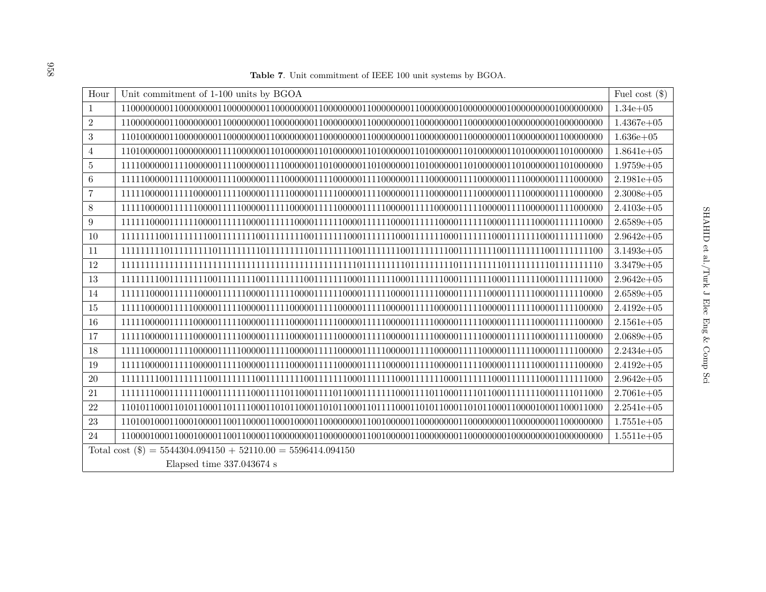**Table 7**. Unit commitment of IEEE <sup>100</sup> unit systems by BGOA.

<span id="page-14-0"></span>

| Hour           | Unit commitment of 1-100 units by BGOA                         | Fuel cost $(\$)$ |
|----------------|----------------------------------------------------------------|------------------|
| $\mathbf{1}$   |                                                                | $1.34e + 05$     |
| $\overline{2}$ |                                                                | $1.4367e+05$     |
| 3              |                                                                | $1.636e + 05$    |
| $\overline{4}$ |                                                                | $1.8641e+05$     |
| $\overline{5}$ |                                                                | $1.9759e + 05$   |
| $\,6\,$        |                                                                | $2.1981e+05$     |
| $\overline{7}$ |                                                                | $2.3008e + 05$   |
| 8              |                                                                | $2.4103e + 05$   |
| 9              |                                                                | $2.6589e + 05$   |
| 10             |                                                                | $2.9642e+05$     |
| 11             |                                                                | $3.1493e + 05$   |
| 12             |                                                                | $3.3479e + 05$   |
| 13             |                                                                | $2.9642e+05$     |
| 14             |                                                                | $2.6589e + 05$   |
| 15             |                                                                | $2.4192e+05$     |
| 16             |                                                                | $2.1561e+05$     |
| 17             |                                                                | $2.0689e + 05$   |
| 18             |                                                                | $2.2434e + 05$   |
| 19             |                                                                | $2.4192e+05$     |
| $20\,$         |                                                                | $2.9642e+05$     |
| 21             |                                                                | $2.7061e + 05$   |
| 22             |                                                                | $2.2541e+05$     |
| 23             |                                                                | $1.7551e+05$     |
| 24             |                                                                | $1.5511e+05$     |
|                | Total cost $(\$) = 5544304.094150 + 52110.00 = 5596414.094150$ |                  |
|                | Elapsed time $337.043674$ s                                    |                  |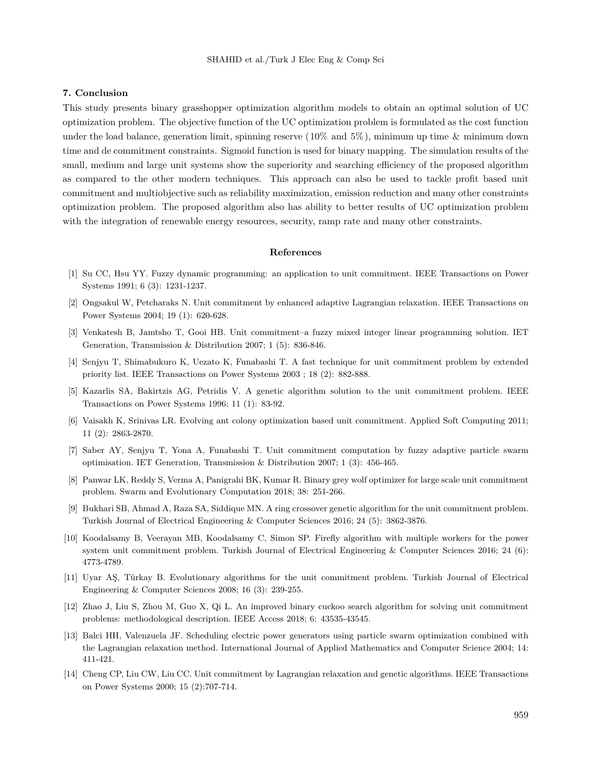## **7. Conclusion**

This study presents binary grasshopper optimization algorithm models to obtain an optimal solution of UC optimization problem. The objective function of the UC optimization problem is formulated as the cost function under the load balance, generation limit, spinning reserve  $(10\%$  and  $5\%)$ , minimum up time & minimum down time and de commitment constraints. Sigmoid function is used for binary mapping. The simulation results of the small, medium and large unit systems show the superiority and searching efficiency of the proposed algorithm as compared to the other modern techniques. This approach can also be used to tackle profit based unit commitment and multiobjective such as reliability maximization, emission reduction and many other constraints optimization problem. The proposed algorithm also has ability to better results of UC optimization problem with the integration of renewable energy resources, security, ramp rate and many other constraints.

#### **References**

- [1] Su CC, Hsu YY. Fuzzy dynamic programming: an application to unit commitment. IEEE Transactions on Power Systems 1991; 6 (3): 1231-1237.
- [2] Ongsakul W, Petcharaks N. Unit commitment by enhanced adaptive Lagrangian relaxation. IEEE Transactions on Power Systems 2004; 19 (1): 620-628.
- [3] Venkatesh B, Jamtsho T, Gooi HB. Unit commitment–a fuzzy mixed integer linear programming solution. IET Generation, Transmission & Distribution 2007; 1 (5): 836-846.
- [4] Senjyu T, Shimabukuro K, Uezato K, Funabashi T. A fast technique for unit commitment problem by extended priority list. IEEE Transactions on Power Systems 2003 ; 18 (2): 882-888.
- [5] Kazarlis SA, Bakirtzis AG, Petridis V. A genetic algorithm solution to the unit commitment problem. IEEE Transactions on Power Systems 1996; 11 (1): 83-92.
- [6] Vaisakh K, Srinivas LR. Evolving ant colony optimization based unit commitment. Applied Soft Computing 2011; 11 (2): 2863-2870.
- [7] Saber AY, Senjyu T, Yona A, Funabashi T. Unit commitment computation by fuzzy adaptive particle swarm optimisation. IET Generation, Transmission & Distribution 2007; 1 (3): 456-465.
- <span id="page-15-0"></span>[8] Panwar LK, Reddy S, Verma A, Panigrahi BK, Kumar R. Binary grey wolf optimizer for large scale unit commitment problem. Swarm and Evolutionary Computation 2018; 38: 251-266.
- [9] Bukhari SB, Ahmad A, Raza SA, Siddique MN. A ring crossover genetic algorithm for the unit commitment problem. Turkish Journal of Electrical Engineering & Computer Sciences 2016; 24 (5): 3862-3876.
- [10] Koodalsamy B, Veerayan MB, Koodalsamy C, Simon SP. Firefly algorithm with multiple workers for the power system unit commitment problem. Turkish Journal of Electrical Engineering & Computer Sciences 2016; 24 (6): 4773-4789.
- [11] Uyar AŞ, Türkay B. Evolutionary algorithms for the unit commitment problem. Turkish Journal of Electrical Engineering & Computer Sciences 2008; 16 (3): 239-255.
- [12] Zhao J, Liu S, Zhou M, Guo X, Qi L. An improved binary cuckoo search algorithm for solving unit commitment problems: methodological description. IEEE Access 2018; 6: 43535-43545.
- [13] Balci HH, Valenzuela JF. Scheduling electric power generators using particle swarm optimization combined with the Lagrangian relaxation method. International Journal of Applied Mathematics and Computer Science 2004; 14: 411-421.
- [14] Cheng CP, Liu CW, Liu CC. Unit commitment by Lagrangian relaxation and genetic algorithms. IEEE Transactions on Power Systems 2000; 15 (2):707-714.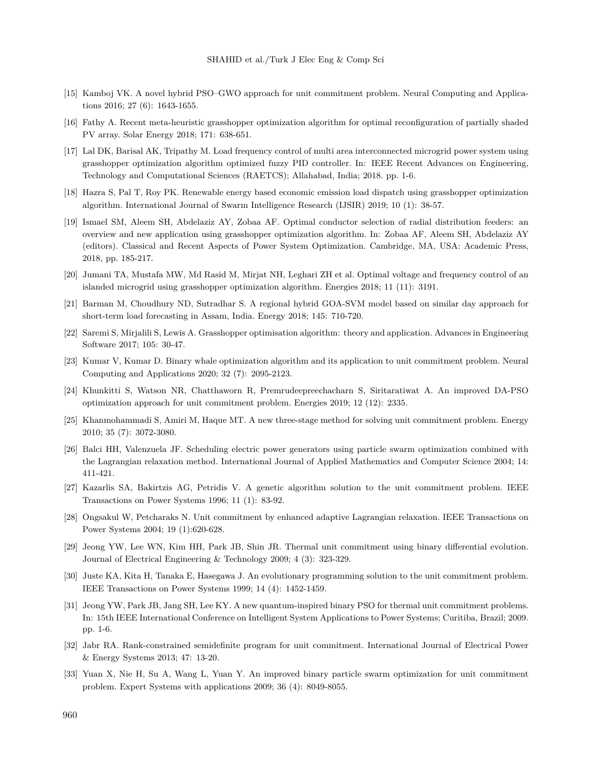- <span id="page-16-6"></span>[15] Kamboj VK. A novel hybrid PSO–GWO approach for unit commitment problem. Neural Computing and Applications 2016; 27 (6): 1643-1655.
- [16] Fathy A. Recent meta-heuristic grasshopper optimization algorithm for optimal reconfiguration of partially shaded PV array. Solar Energy 2018; 171: 638-651.
- [17] Lal DK, Barisal AK, Tripathy M. Load frequency control of multi area interconnected microgrid power system using grasshopper optimization algorithm optimized fuzzy PID controller. In: IEEE Recent Advances on Engineering, Technology and Computational Sciences (RAETCS); Allahabad, India; 2018. pp. 1-6.
- [18] Hazra S, Pal T, Roy PK. Renewable energy based economic emission load dispatch using grasshopper optimization algorithm. International Journal of Swarm Intelligence Research (IJSIR) 2019; 10 (1): 38-57.
- [19] Ismael SM, Aleem SH, Abdelaziz AY, Zobaa AF. Optimal conductor selection of radial distribution feeders: an overview and new application using grasshopper optimization algorithm. In: Zobaa AF, Aleem SH, Abdelaziz AY (editors). Classical and Recent Aspects of Power System Optimization. Cambridge, MA, USA: Academic Press, 2018, pp. 185-217.
- [20] Jumani TA, Mustafa MW, Md Rasid M, Mirjat NH, Leghari ZH et al. Optimal voltage and frequency control of an islanded microgrid using grasshopper optimization algorithm. Energies 2018; 11 (11): 3191.
- [21] Barman M, Choudhury ND, Sutradhar S. A regional hybrid GOA-SVM model based on similar day approach for short-term load forecasting in Assam, India. Energy 2018; 145: 710-720.
- [22] Saremi S, Mirjalili S, Lewis A. Grasshopper optimisation algorithm: theory and application. Advances in Engineering Software 2017; 105: 30-47.
- <span id="page-16-3"></span>[23] Kumar V, Kumar D. Binary whale optimization algorithm and its application to unit commitment problem. Neural Computing and Applications 2020; 32 (7): 2095-2123.
- <span id="page-16-7"></span>[24] Khunkitti S, Watson NR, Chatthaworn R, Premrudeepreechacharn S, Siritaratiwat A. An improved DA-PSO optimization approach for unit commitment problem. Energies 2019; 12 (12): 2335.
- <span id="page-16-0"></span>[25] Khanmohammadi S, Amiri M, Haque MT. A new three-stage method for solving unit commitment problem. Energy 2010; 35 (7): 3072-3080.
- <span id="page-16-1"></span>[26] Balci HH, Valenzuela JF. Scheduling electric power generators using particle swarm optimization combined with the Lagrangian relaxation method. International Journal of Applied Mathematics and Computer Science 2004; 14: 411-421.
- <span id="page-16-2"></span>[27] Kazarlis SA, Bakirtzis AG, Petridis V. A genetic algorithm solution to the unit commitment problem. IEEE Transactions on Power Systems 1996; 11 (1): 83-92.
- <span id="page-16-4"></span>[28] Ongsakul W, Petcharaks N. Unit commitment by enhanced adaptive Lagrangian relaxation. IEEE Transactions on Power Systems 2004; 19 (1):620-628.
- <span id="page-16-5"></span>[29] Jeong YW, Lee WN, Kim HH, Park JB, Shin JR. Thermal unit commitment using binary differential evolution. Journal of Electrical Engineering & Technology 2009; 4 (3): 323-329.
- <span id="page-16-8"></span>[30] Juste KA, Kita H, Tanaka E, Hasegawa J. An evolutionary programming solution to the unit commitment problem. IEEE Transactions on Power Systems 1999; 14 (4): 1452-1459.
- <span id="page-16-9"></span>[31] Jeong YW, Park JB, Jang SH, Lee KY. A new quantum-inspired binary PSO for thermal unit commitment problems. In: 15th IEEE International Conference on Intelligent System Applications to Power Systems; Curitiba, Brazil; 2009. pp. 1-6.
- <span id="page-16-10"></span>[32] Jabr RA. Rank-constrained semidefinite program for unit commitment. International Journal of Electrical Power & Energy Systems 2013; 47: 13-20.
- <span id="page-16-11"></span>[33] Yuan X, Nie H, Su A, Wang L, Yuan Y. An improved binary particle swarm optimization for unit commitment problem. Expert Systems with applications 2009; 36 (4): 8049-8055.